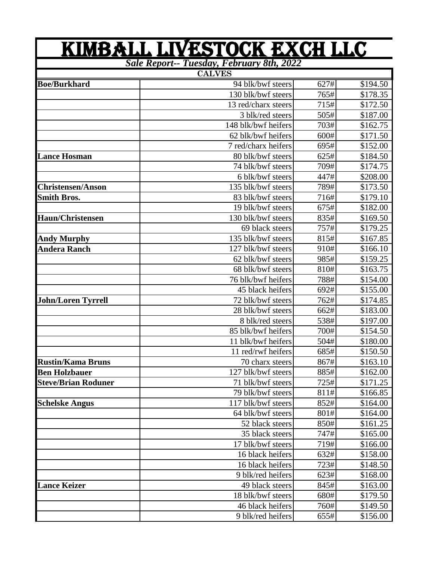|                            | <u>KIMBALL LIVESTOCK EXCH LLC</u>         |      |                      |
|----------------------------|-------------------------------------------|------|----------------------|
|                            | Sale Report-- Tuesday, February 8th, 2022 |      |                      |
|                            | <b>CALVES</b>                             |      |                      |
| <b>Boe/Burkhard</b>        | 94 blk/bwf steers                         | 627# | $\overline{$}194.50$ |
|                            | 130 blk/bwf steers                        | 765# | \$178.35             |
|                            | 13 red/charx steers                       | 715# | \$172.50             |
|                            | 3 blk/red steers                          | 505# | \$187.00             |
|                            | 148 blk/bwf heifers                       | 703# | \$162.75             |
|                            | 62 blk/bwf heifers                        | 600# | \$171.50             |
|                            | 7 red/charx heifers                       | 695# | \$152.00             |
| <b>Lance Hosman</b>        | 80 blk/bwf steers                         | 625# | \$184.50             |
|                            | 74 blk/bwf steers                         | 709# | \$174.75             |
|                            | 6 blk/bwf steers                          | 447# | \$208.00             |
| <b>Christensen/Anson</b>   | 135 blk/bwf steers                        | 789# | \$173.50             |
| <b>Smith Bros.</b>         | 83 blk/bwf steers                         | 716# | \$179.10             |
|                            | 19 blk/bwf steers                         | 675# | \$182.00             |
| <b>Haun/Christensen</b>    | 130 blk/bwf steers                        | 835# | \$169.50             |
|                            | 69 black steers                           | 757# | \$179.25             |
| <b>Andy Murphy</b>         | 135 blk/bwf steers                        | 815# | \$167.85             |
| <b>Andera Ranch</b>        | 127 blk/bwf steers                        | 910# | \$166.10             |
|                            | 62 blk/bwf steers                         | 985# | \$159.25             |
|                            | 68 blk/bwf steers                         | 810# | \$163.75             |
|                            | 76 blk/bwf heifers                        | 788# | \$154.00             |
|                            | 45 black heifers                          | 692# | \$155.00             |
| <b>John/Loren Tyrrell</b>  | 72 blk/bwf steers                         | 762# | \$174.85             |
|                            | 28 blk/bwf steers                         | 662# | \$183.00             |
|                            | 8 blk/red steers                          | 538# | \$197.00             |
|                            | 85 blk/bwf heifers                        | 700# | \$154.50             |
|                            | 11 blk/bwf heifers                        | 504# | \$180.00             |
|                            | 11 red/rwf heifers                        | 685# | \$150.50             |
| <b>Rustin/Kama Bruns</b>   | 70 charx steers                           | 867# | \$163.10             |
| <b>Ben Holzbauer</b>       | 127 blk/bwf steers                        | 885# | \$162.00             |
| <b>Steve/Brian Roduner</b> | 71 blk/bwf steers                         | 725# | \$171.25             |
|                            | 79 blk/bwf steers                         | 811# | \$166.85             |
| <b>Schelske Angus</b>      | 117 blk/bwf steers                        | 852# | \$164.00             |
|                            | 64 blk/bwf steers                         | 801# | \$164.00             |
|                            | 52 black steers                           | 850# | \$161.25             |
|                            | 35 black steers                           | 747# | \$165.00             |
|                            | 17 blk/bwf steers                         | 719# | \$166.00             |
|                            | 16 black heifers                          | 632# | \$158.00             |
|                            | 16 black heifers                          | 723# | \$148.50             |
|                            | 9 blk/red heifers                         | 623# | \$168.00             |
| <b>Lance Keizer</b>        | 49 black steers                           | 845# | \$163.00             |
|                            | 18 blk/bwf steers                         | 680# | \$179.50             |
|                            | 46 black heifers                          | 760# | \$149.50             |
|                            | 9 blk/red heifers                         | 655# | \$156.00             |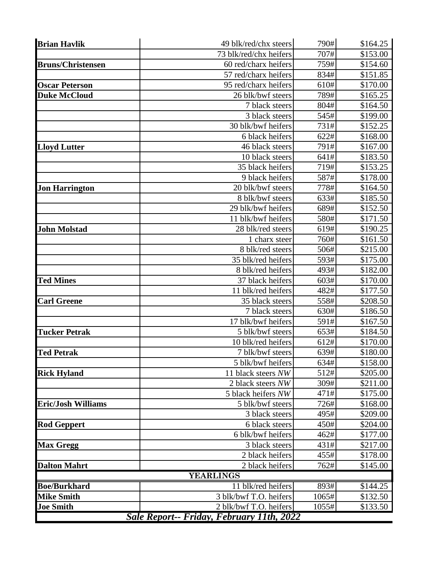| <b>Brian Havlik</b>       | 49 blk/red/chx steers                     | 790#  | \$164.25 |
|---------------------------|-------------------------------------------|-------|----------|
|                           | 73 blk/red/chx heifers                    | 707#  | \$153.00 |
| <b>Bruns/Christensen</b>  | 60 red/charx heifers                      | 759#  | \$154.60 |
|                           | 57 red/charx heifers                      | 834#  | \$151.85 |
| <b>Oscar Peterson</b>     | 95 red/charx heifers                      | 610#  | \$170.00 |
| <b>Duke McCloud</b>       | 26 blk/bwf steers                         | 789#  | \$165.25 |
|                           | 7 black steers                            | 804#  | \$164.50 |
|                           | 3 black steers                            | 545#  | \$199.00 |
|                           | 30 blk/bwf heifers                        | 731#  | \$152.25 |
|                           | 6 black heifers                           | 622#  | \$168.00 |
| <b>Lloyd Lutter</b>       | 46 black steers                           | 791#  | \$167.00 |
|                           | 10 black steers                           | 641#  | \$183.50 |
|                           | 35 black heifers                          | 719#  | \$153.25 |
|                           | 9 black heifers                           | 587#  | \$178.00 |
| <b>Jon Harrington</b>     | 20 blk/bwf steers                         | 778#  | \$164.50 |
|                           | 8 blk/bwf steers                          | 633#  | \$185.50 |
|                           | 29 blk/bwf heifers                        | 689#  | \$152.50 |
|                           | 11 blk/bwf heifers                        | 580#  | \$171.50 |
| <b>John Molstad</b>       | 28 blk/red steers                         | 619#  | \$190.25 |
|                           | 1 charx steer                             | 760#  | \$161.50 |
|                           | 8 blk/red steers                          | 506#  | \$215.00 |
|                           | 35 blk/red heifers                        | 593#  | \$175.00 |
|                           | 8 blk/red heifers                         | 493#  | \$182.00 |
| <b>Ted Mines</b>          | 37 black heifers                          | 603#  | \$170.00 |
|                           | 11 blk/red heifers                        | 482#  | \$177.50 |
| <b>Carl Greene</b>        | 35 black steers                           | 558#  | \$208.50 |
|                           | 7 black steers                            | 630#  | \$186.50 |
|                           | 17 blk/bwf heifers                        | 591#  | \$167.50 |
| <b>Tucker Petrak</b>      | 5 blk/bwf steers                          | 653#  | \$184.50 |
|                           | 10 blk/red heifers                        | 612#  | \$170.00 |
| <b>Ted Petrak</b>         | 7 blk/bwf steers                          | 639#  | \$180.00 |
|                           | 5 blk/bwf heifers                         | 634#  | \$158.00 |
| <b>Rick Hyland</b>        | 11 black steers NW                        | 512#  | \$205.00 |
|                           | 2 black steers NW                         | 309#  | \$211.00 |
|                           | 5 black heifers NW                        | 471#  | \$175.00 |
| <b>Eric/Josh Williams</b> | 5 blk/bwf steers                          | 726#  | \$168.00 |
|                           | 3 black steers                            | 495#  | \$209.00 |
| <b>Rod Geppert</b>        | 6 black steers                            | 450#  | \$204.00 |
|                           | 6 blk/bwf heifers                         | 462#  | \$177.00 |
| <b>Max Gregg</b>          | 3 black steers                            | 431#  | \$217.00 |
|                           | 2 black heifers                           | 455#  | \$178.00 |
| <b>Dalton Mahrt</b>       | 2 black heifers                           | 762#  | \$145.00 |
|                           | <b>YEARLINGS</b>                          |       |          |
| <b>Boe/Burkhard</b>       | 11 blk/red heifers                        | 893#  | \$144.25 |
| <b>Mike Smith</b>         | 3 blk/bwf T.O. heifers                    | 1065# | \$132.50 |
| <b>Joe Smith</b>          | 2 blk/bwf T.O. heifers                    | 1055# | \$133.50 |
|                           | Sale Report-- Friday, February 11th, 2022 |       |          |